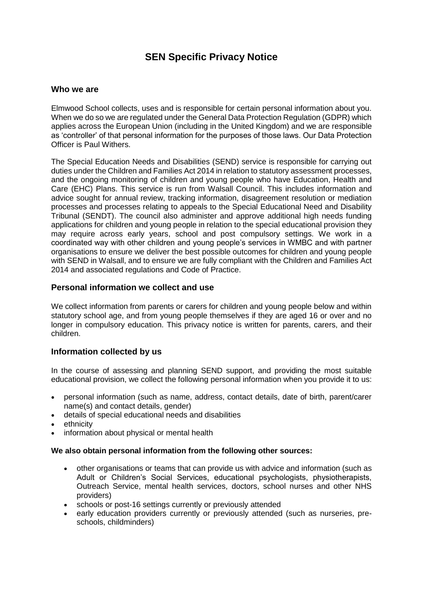# **SEN Specific Privacy Notice**

## **Who we are**

Elmwood School collects, uses and is responsible for certain personal information about you. When we do so we are regulated under the General Data Protection Regulation (GDPR) which applies across the European Union (including in the United Kingdom) and we are responsible as 'controller' of that personal information for the purposes of those laws. Our Data Protection Officer is Paul Withers.

The Special Education Needs and Disabilities (SEND) service is responsible for carrying out duties under the Children and Families Act 2014 in relation to statutory assessment processes, and the ongoing monitoring of children and young people who have Education, Health and Care (EHC) Plans. This service is run from Walsall Council. This includes information and advice sought for annual review, tracking information, disagreement resolution or mediation processes and processes relating to appeals to the Special Educational Need and Disability Tribunal (SENDT). The council also administer and approve additional high needs funding applications for children and young people in relation to the special educational provision they may require across early years, school and post compulsory settings. We work in a coordinated way with other children and young people's services in WMBC and with partner organisations to ensure we deliver the best possible outcomes for children and young people with SEND in Walsall, and to ensure we are fully compliant with the Children and Families Act 2014 and associated regulations and Code of Practice.

## **Personal information we collect and use**

We collect information from parents or carers for children and young people below and within statutory school age, and from young people themselves if they are aged 16 or over and no longer in compulsory education. This privacy notice is written for parents, carers, and their children.

#### **Information collected by us**

In the course of assessing and planning SEND support, and providing the most suitable educational provision, we collect the following personal information when you provide it to us:

- personal information (such as name, address, contact details, date of birth, parent/carer name(s) and contact details, gender)
- details of special educational needs and disabilities
- ethnicity
- information about physical or mental health

#### **We also obtain personal information from the following other sources:**

- other organisations or teams that can provide us with advice and information (such as Adult or Children's Social Services, educational psychologists, physiotherapists, Outreach Service, mental health services, doctors, school nurses and other NHS providers)
- schools or post-16 settings currently or previously attended
- early education providers currently or previously attended (such as nurseries, preschools, childminders)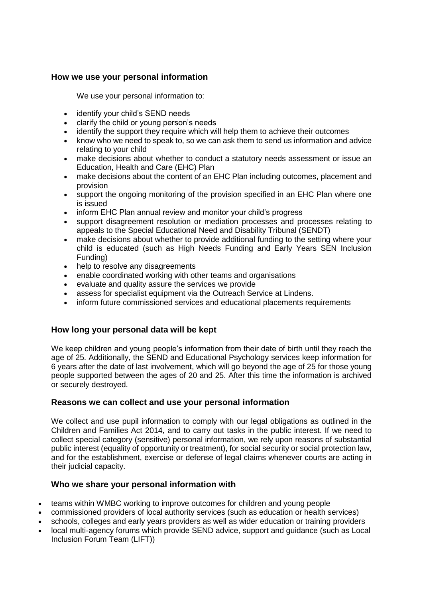# **How we use your personal information**

We use your personal information to:

- identify your child's SEND needs
- clarify the child or young person's needs
- identify the support they require which will help them to achieve their outcomes
- know who we need to speak to, so we can ask them to send us information and advice relating to your child
- make decisions about whether to conduct a statutory needs assessment or issue an Education, Health and Care (EHC) Plan
- make decisions about the content of an EHC Plan including outcomes, placement and provision
- support the ongoing monitoring of the provision specified in an EHC Plan where one is issued
- inform EHC Plan annual review and monitor your child's progress
- support disagreement resolution or mediation processes and processes relating to appeals to the Special Educational Need and Disability Tribunal (SENDT)
- make decisions about whether to provide additional funding to the setting where your child is educated (such as High Needs Funding and Early Years SEN Inclusion Funding)
- help to resolve any disagreements
- enable coordinated working with other teams and organisations
- evaluate and quality assure the services we provide
- assess for specialist equipment via the Outreach Service at Lindens.
- inform future commissioned services and educational placements requirements

#### **How long your personal data will be kept**

We keep children and young people's information from their date of birth until they reach the age of 25. Additionally, the SEND and Educational Psychology services keep information for 6 years after the date of last involvement, which will go beyond the age of 25 for those young people supported between the ages of 20 and 25. After this time the information is archived or securely destroyed.

#### **Reasons we can collect and use your personal information**

We collect and use pupil information to comply with our legal obligations as outlined in the Children and Families Act 2014*,* and to carry out tasks in the public interest. If we need to collect special category (sensitive) personal information, we rely upon reasons of substantial public interest (equality of opportunity or treatment), for social security or social protection law, and for the establishment, exercise or defense of legal claims whenever courts are acting in their judicial capacity.

#### **Who we share your personal information with**

- teams within WMBC working to improve outcomes for children and young people
- commissioned providers of local authority services (such as education or health services)
- schools, colleges and early years providers as well as wider education or training providers
- local multi-agency forums which provide SEND advice, support and guidance (such as Local Inclusion Forum Team (LIFT))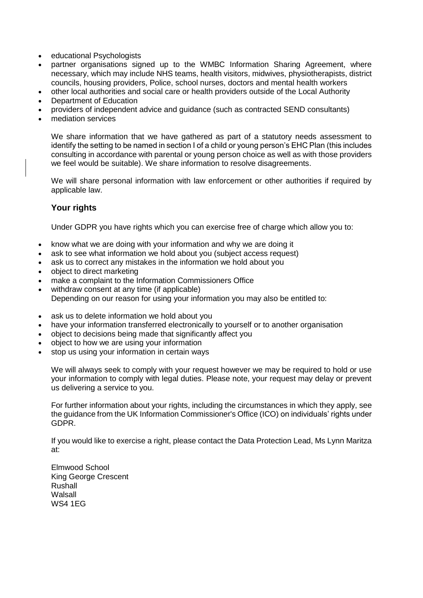- educational Psychologists
- partner organisations signed up to the WMBC Information Sharing Agreement, where necessary, which may include NHS teams, health visitors, midwives, physiotherapists, district councils, housing providers, Police, school nurses, doctors and mental health workers
- other local authorities and social care or health providers outside of the Local Authority
- Department of Education
- providers of independent advice and guidance (such as contracted SEND consultants)
- mediation services

We share information that we have gathered as part of a statutory needs assessment to identify the setting to be named in section I of a child or young person's EHC Plan (this includes consulting in accordance with parental or young person choice as well as with those providers we feel would be suitable). We share information to resolve disagreements.

We will share personal information with law enforcement or other authorities if required by applicable law.

## **Your rights**

Under GDPR you have rights which you can exercise free of charge which allow you to:

- know what we are doing with your information and why we are doing it
- ask to see what information we hold about you (subject access request)
- ask us to correct any mistakes in the information we hold about you
- object to direct marketing
- make a complaint to the Information Commissioners Office
- withdraw consent at any time (if applicable)
	- Depending on our reason for using your information you may also be entitled to:
- ask us to delete information we hold about you
- have your information transferred electronically to yourself or to another organisation
- object to decisions being made that significantly affect you
- object to how we are using your information
- stop us using your information in certain ways

We will always seek to comply with your request however we may be required to hold or use your information to comply with legal duties. Please note, your request may delay or prevent us delivering a service to you.

For further information about your rights, including the circumstances in which they apply, [see](https://ico.org.uk/)  [the guidance from the UK Information Commissioner's Office \(ICO\)](https://ico.org.uk/) on individuals' rights under GDPR.

If you would like to exercise a right, please contact the Data Protection Lead, Ms Lynn Maritza at:

Elmwood School King George Crescent Rushall Walsall WS4 1EG